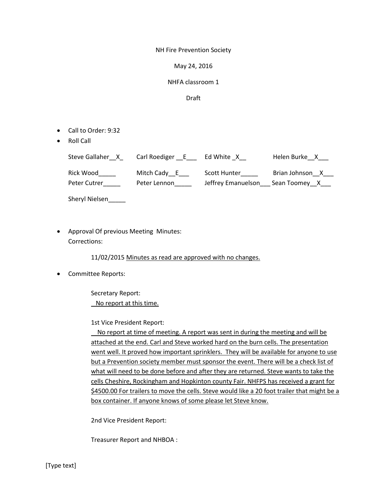NH Fire Prevention Society

May 24, 2016

## NHFA classroom 1

Draft

- Call to Order: 9:32
- Roll Call

| Steve Gallaher X | Carl Roediger E | Ed White X         | Helen Burke X   |
|------------------|-----------------|--------------------|-----------------|
| Rick Wood        | Mitch Cady E    | Scott Hunter       | Brian Johnson X |
| Peter Cutrer     | Peter Lennon    | Jeffrey Emanuelson | Sean Toomey X   |

Sheryl Nielsen

 Approval Of previous Meeting Minutes: Corrections:

11/02/2015 Minutes as read are approved with no changes.

Committee Reports:

Secretary Report: No report at this time.

1st Vice President Report:

 No report at time of meeting. A report was sent in during the meeting and will be attached at the end. Carl and Steve worked hard on the burn cells. The presentation went well. It proved how important sprinklers. They will be available for anyone to use but a Prevention society member must sponsor the event. There will be a check list of what will need to be done before and after they are returned. Steve wants to take the cells Cheshire, Rockingham and Hopkinton county Fair. NHFPS has received a grant for \$4500.00 For trailers to move the cells. Steve would like a 20 foot trailer that might be a box container. If anyone knows of some please let Steve know.

2nd Vice President Report:

Treasurer Report and NHBOA :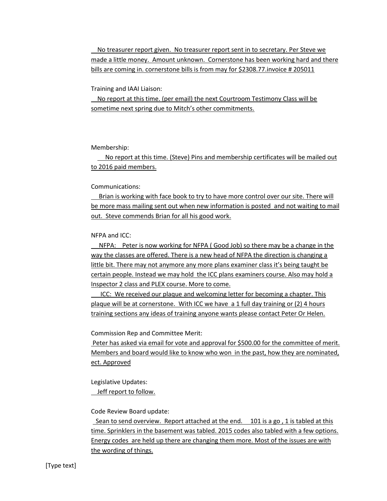No treasurer report given. No treasurer report sent in to secretary. Per Steve we made a little money. Amount unknown. Cornerstone has been working hard and there bills are coming in. cornerstone bills is from may for \$2308.77. invoice # 205011

Training and IAAI Liaison:

 No report at this time. (per email) the next Courtroom Testimony Class will be sometime next spring due to Mitch's other commitments.

Membership:

 No report at this time. (Steve) Pins and membership certificates will be mailed out to 2016 paid members.

Communications:

 Brian is working with face book to try to have more control over our site. There will be more mass mailing sent out when new information is posted and not waiting to mail out. Steve commends Brian for all his good work.

NFPA and ICC:

 NFPA: Peter is now working for NFPA ( Good Job) so there may be a change in the way the classes are offered. There is a new head of NFPA the direction is changing a little bit. There may not anymore any more plans examiner class it's being taught be certain people. Instead we may hold the ICC plans examiners course. Also may hold a Inspector 2 class and PLEX course. More to come.

 ICC: We received our plaque and welcoming letter for becoming a chapter. This plaque will be at cornerstone. With ICC we have a 1 full day training or (2) 4 hours training sections any ideas of training anyone wants please contact Peter Or Helen.

Commission Rep and Committee Merit:

Peter has asked via email for vote and approval for \$500.00 for the committee of merit. Members and board would like to know who won in the past, how they are nominated, ect. Approved

Legislative Updates:

Jeff report to follow.

Code Review Board update:

 Sean to send overview. Report attached at the end. 101 is a go , 1 is tabled at this time. Sprinklers in the basement was tabled. 2015 codes also tabled with a few options. Energy codes are held up there are changing them more. Most of the issues are with the wording of things.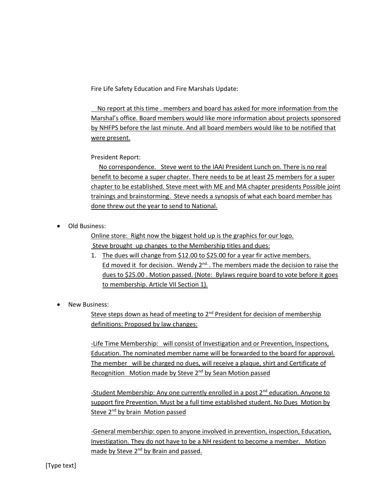Fire Life Safety Education and Fire Marshals Update:

 No report at this time . members and board has asked for more information from the Marshal's office. Board members would like more information about projects sponsored by NHFPS before the last minute. And all board members would like to be notified that were present.

President Report:

 No correspondence. Steve went to the IAAI President Lunch on. There is no real benefit to become a super chapter. There needs to be at least 25 members for a super chapter to be established. Steve meet with ME and MA chapter presidents Possible joint trainings and brainstorming. Steve needs a synopsis of what each board member has done threw out the year to send to National.

Old Business:

Online store: Right now the biggest hold up is the graphics for our logo. Steve brought up changes to the Membership titles and dues:

- 1. The dues will change from \$12.00 to \$25.00 for a year fir active members. Ed moved it for decision. Wendy 2<sup>nd.</sup>. The members made the decision to raise the dues to \$25.00 . Motion passed. (Note: Bylaws require board to vote before it goes to membership. Article VII Section 1).
- New Business:

Steve steps down as head of meeting to  $2<sup>nd</sup>$  President for decision of membership definitions: Proposed by law changes:

-Life Time Membership: will consist of Investigation and or Prevention, Inspections, Education. The nominated member name will be forwarded to the board for approval. The member will be charged no dues, will receive a plaque, shirt and Certificate of Recognition Motion made by Steve 2<sup>nd</sup> by Sean Motion passed

-Student Membership: Any one currently enrolled in a post 2<sup>nd</sup> education. Anyone to support fire Prevention. Must be a full time established student. No Dues Motion by Steve 2<sup>nd</sup> by brain Motion passed

-General membership: open to anyone involved in prevention, inspection, Education, Investigation. They do not have to be a NH resident to become a member. Motion made by Steve 2<sup>nd</sup> by Brain and passed.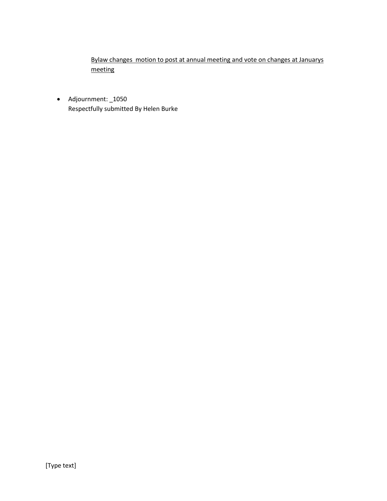Bylaw changes motion to post at annual meeting and vote on changes at Januarys meeting

 Adjournment: \_1050 Respectfully submitted By Helen Burke